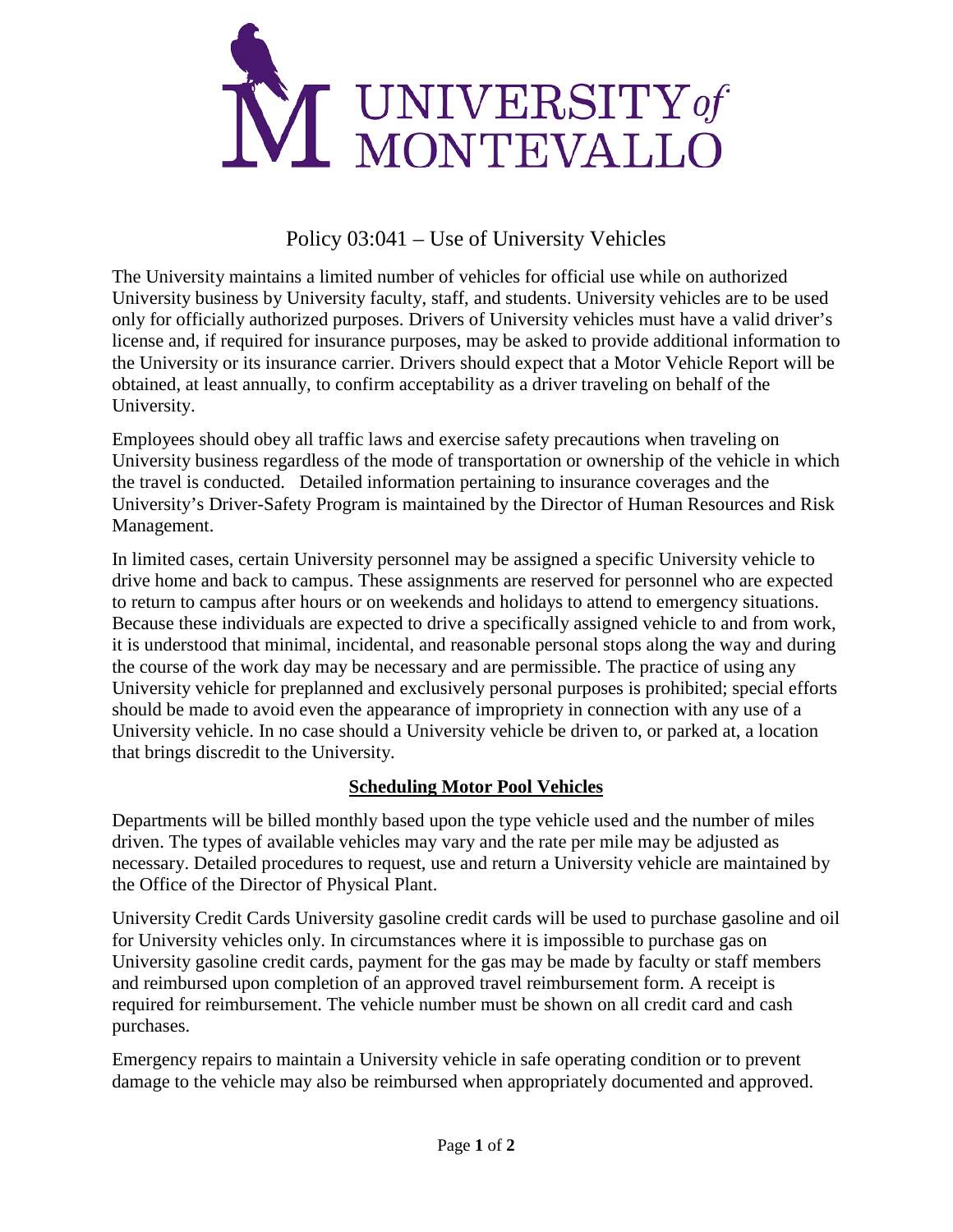

## Policy 03:041 – Use of University Vehicles

The University maintains a limited number of vehicles for official use while on authorized University business by University faculty, staff, and students. University vehicles are to be used only for officially authorized purposes. Drivers of University vehicles must have a valid driver's license and, if required for insurance purposes, may be asked to provide additional information to the University or its insurance carrier. Drivers should expect that a Motor Vehicle Report will be obtained, at least annually, to confirm acceptability as a driver traveling on behalf of the University.

Employees should obey all traffic laws and exercise safety precautions when traveling on University business regardless of the mode of transportation or ownership of the vehicle in which the travel is conducted. Detailed information pertaining to insurance coverages and the University's Driver-Safety Program is maintained by the Director of Human Resources and Risk Management.

In limited cases, certain University personnel may be assigned a specific University vehicle to drive home and back to campus. These assignments are reserved for personnel who are expected to return to campus after hours or on weekends and holidays to attend to emergency situations. Because these individuals are expected to drive a specifically assigned vehicle to and from work, it is understood that minimal, incidental, and reasonable personal stops along the way and during the course of the work day may be necessary and are permissible. The practice of using any University vehicle for preplanned and exclusively personal purposes is prohibited; special efforts should be made to avoid even the appearance of impropriety in connection with any use of a University vehicle. In no case should a University vehicle be driven to, or parked at, a location that brings discredit to the University.

## **Scheduling Motor Pool Vehicles**

Departments will be billed monthly based upon the type vehicle used and the number of miles driven. The types of available vehicles may vary and the rate per mile may be adjusted as necessary. Detailed procedures to request, use and return a University vehicle are maintained by the Office of the Director of Physical Plant.

University Credit Cards University gasoline credit cards will be used to purchase gasoline and oil for University vehicles only. In circumstances where it is impossible to purchase gas on University gasoline credit cards, payment for the gas may be made by faculty or staff members and reimbursed upon completion of an approved travel reimbursement form. A receipt is required for reimbursement. The vehicle number must be shown on all credit card and cash purchases.

Emergency repairs to maintain a University vehicle in safe operating condition or to prevent damage to the vehicle may also be reimbursed when appropriately documented and approved.